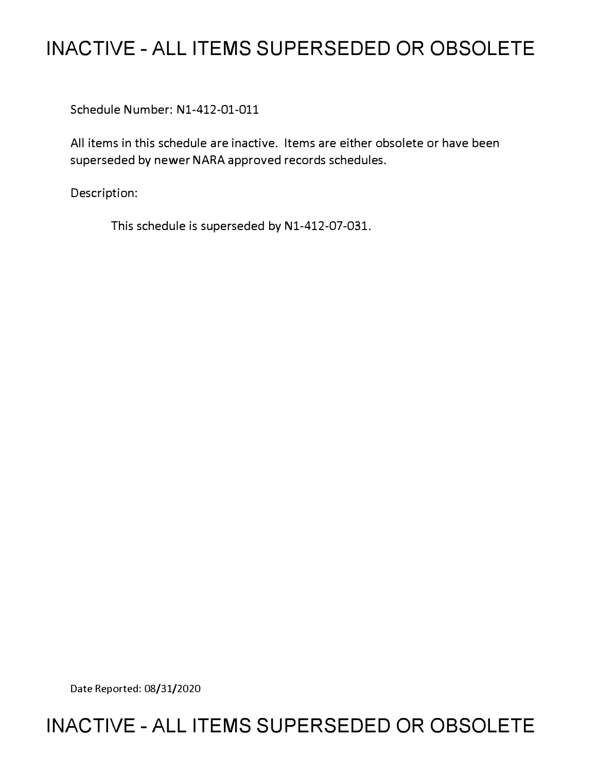# **INACTIVE - ALL ITEMS SUPERSEDED OR OBSOLETE**

Schedule Number: Nl-412-01-011

All items in this schedule are inactive. Items are either obsolete or have been superseded by newer NARA approved records schedules.

Description:

This schedule is superseded by N1-412-07-031.

Date Reported: 08/31/2020

# **INACTIVE - ALL ITEMS SUPERSEDED OR OBSOLETE**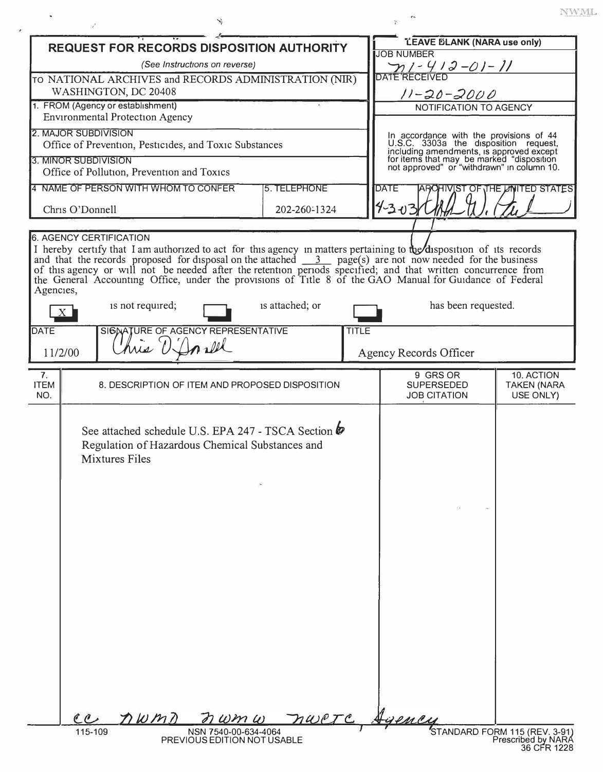|                                                           |                 | <b>REQUEST FOR RECORDS DISPOSITION AUTHORITY</b>                                                                                     |                                           |                 |                                            | <b>LEAVE BLANK (NARA use only)</b>                                                                                                                                                                                                                                                                                                                                                                                                                                        |                                   |  |
|-----------------------------------------------------------|-----------------|--------------------------------------------------------------------------------------------------------------------------------------|-------------------------------------------|-----------------|--------------------------------------------|---------------------------------------------------------------------------------------------------------------------------------------------------------------------------------------------------------------------------------------------------------------------------------------------------------------------------------------------------------------------------------------------------------------------------------------------------------------------------|-----------------------------------|--|
|                                                           |                 |                                                                                                                                      | (See Instructions on reverse)             |                 |                                            | <b>JOB NUMBER</b><br><u>n1-412-01-11</u>                                                                                                                                                                                                                                                                                                                                                                                                                                  |                                   |  |
|                                                           |                 | TO NATIONAL ARCHIVES and RECORDS ADMINISTRATION (NIR)                                                                                |                                           |                 |                                            | <b>DATE RECEIVED</b>                                                                                                                                                                                                                                                                                                                                                                                                                                                      |                                   |  |
| WASHINGTON, DC 20408<br>1. FROM (Agency or establishment) |                 |                                                                                                                                      |                                           |                 | $11 - 20 - 2000$<br>NOTIFICATION TO AGENCY |                                                                                                                                                                                                                                                                                                                                                                                                                                                                           |                                   |  |
|                                                           |                 | <b>Environmental Protection Agency</b>                                                                                               |                                           |                 |                                            |                                                                                                                                                                                                                                                                                                                                                                                                                                                                           |                                   |  |
|                                                           |                 | 2. MAJOR SUBDIVISION                                                                                                                 |                                           |                 |                                            |                                                                                                                                                                                                                                                                                                                                                                                                                                                                           |                                   |  |
|                                                           |                 | Office of Prevention, Pesticides, and Toxic Substances                                                                               |                                           |                 |                                            | In accordance with the provisions of 44<br>U.S.C. 3303a the disposition request,<br>including amendments, is approved except<br>for items that may be marked "disposition<br>not approved" or "withdrawn" in column 10.                                                                                                                                                                                                                                                   |                                   |  |
|                                                           |                 | 3. MINOR SUBDIVISION<br>Office of Pollution, Prevention and Toxics                                                                   |                                           |                 |                                            |                                                                                                                                                                                                                                                                                                                                                                                                                                                                           |                                   |  |
|                                                           |                 | 4 NAME OF PERSON WITH WHOM TO CONFER                                                                                                 |                                           | 5. TELEPHONE    |                                            | <b>DATE</b>                                                                                                                                                                                                                                                                                                                                                                                                                                                               | AROHIVIST OF THE LINITED STATES   |  |
|                                                           | Chris O'Donnell |                                                                                                                                      |                                           | 202-260-1324    |                                            | 14-3-03                                                                                                                                                                                                                                                                                                                                                                                                                                                                   |                                   |  |
|                                                           |                 |                                                                                                                                      |                                           |                 |                                            |                                                                                                                                                                                                                                                                                                                                                                                                                                                                           |                                   |  |
| Agencies,                                                 |                 | <b>6. AGENCY CERTIFICATION</b><br>is not required;                                                                                   |                                           | is attached; or |                                            | I hereby certify that I am authorized to act for this agency in matters pertaining to the disposition of its records<br>and that the records proposed for disposal on the attached $\frac{3}{2}$ page(s) are not now needed for the business<br>of this agency or will not be needed after the retention periods specified; and that written concurrence from<br>the General Accounting Office, under the provisions of Title 8 of the GAO Manual for Guidance of Federal |                                   |  |
|                                                           | $X_{-}$         |                                                                                                                                      |                                           |                 |                                            | has been requested.                                                                                                                                                                                                                                                                                                                                                                                                                                                       |                                   |  |
| <b>DATE</b>                                               |                 | SIGNATURE OF AGENCY REPRESENTATIVE                                                                                                   |                                           |                 | <b>TITLE</b>                               |                                                                                                                                                                                                                                                                                                                                                                                                                                                                           |                                   |  |
|                                                           | 11/2/00         | his D                                                                                                                                | Inall                                     |                 |                                            | Agency Records Officer                                                                                                                                                                                                                                                                                                                                                                                                                                                    |                                   |  |
| 7.                                                        |                 |                                                                                                                                      |                                           |                 |                                            | 9 GRS OR                                                                                                                                                                                                                                                                                                                                                                                                                                                                  | 10. ACTION                        |  |
| <b>ITEM</b><br>NO.                                        |                 | 8. DESCRIPTION OF ITEM AND PROPOSED DISPOSITION                                                                                      |                                           |                 |                                            | <b>SUPERSEDED</b><br><b>JOB CITATION</b>                                                                                                                                                                                                                                                                                                                                                                                                                                  | <b>TAKEN (NARA</b><br>USE ONLY)   |  |
|                                                           | ec<br>115-109   | See attached schedule U.S. EPA 247 - TSCA Section $\psi$<br>Regulation of Hazardous Chemical Substances and<br>Mixtures Files<br>nwm | $m\omega m\omega$<br>NSN 7540-00-634-4064 |                 |                                            | nwere Agency                                                                                                                                                                                                                                                                                                                                                                                                                                                              | STANDARD FORM 115 (REV. 3-91)     |  |
|                                                           |                 |                                                                                                                                      | PREVIOUS EDITION NOT USABLE               |                 |                                            |                                                                                                                                                                                                                                                                                                                                                                                                                                                                           | Prescribed by NARA<br>36 CFR 1228 |  |

¥

 $\ensuremath{\text{NWML}}$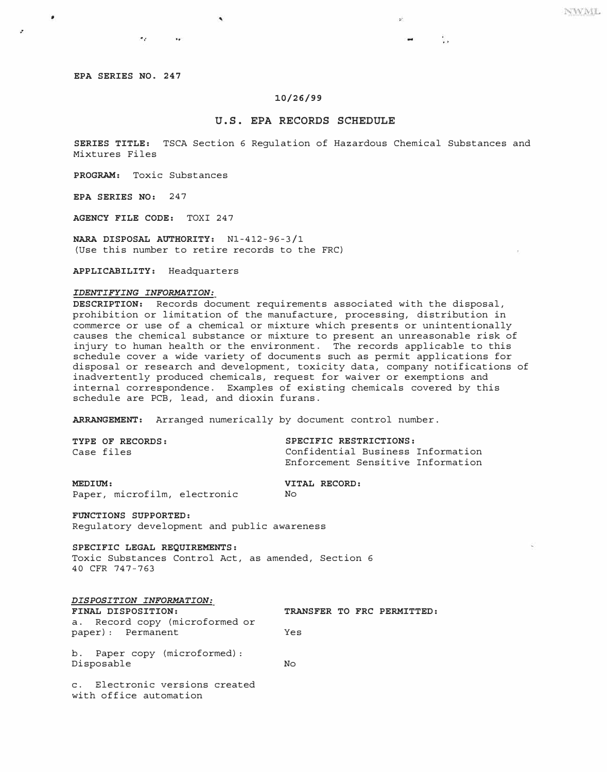t.

**EPA SERIES NO. 247** 

жy.

 $\ddot{\phantom{0}}$ 

 $\bullet$ 

## **10/26/99**

## **U.S. EPA RECORDS SCHEDULE**

**SERIES TITLE:** TSCA Section 6 Regulation of Hazardous Chemical Substances and Mixtures Files

**PROGRAM:** Toxic Substances

**EPA SERIES NO:** 247

**AGENCY FILE CODE:** TOXI 247

**NARA DISPOSAL AUTHORITY:** Nl-412-96-3/1 (Use this number to retire records to the FRC)

**APPLICABILITY:** Headquarters

### *IDENTIFYING INFORMATION:*

**DESCRIPTION:** Records document requirements associated with the disposal, prohibition or limitation of the manufacture, processing, distribution in commerce or use of a chemical or mixture which presents or unintentionally causes the chemical substance or mixture to present an unreasonable risk of injury to human health or the environment. The records applicable to this schedule cover a wide variety of documents such as permit applications for disposal or research and development, toxicity data, company notifications of inadvertently produced chemicals, request for waiver or exemptions and internal correspondence. Examples of existing chemicals covered by this schedule are PCB, lead, and dioxin furans.

**ARRANGEMENT:** Arranged numerically by document control number.

| TYPE OF RECORDS: | SPECIFIC RESTRICTIONS:            |
|------------------|-----------------------------------|
| Case files       | Confidential Business Information |
|                  | Enforcement Sensitive Information |

**MEDIUM: VITAL RECORD:**<br>Paper, microfilm, electronic Mo Paper, microfilm, electronic

**FUNCTIONS SUPPORTED:**  Regulatory development and public awareness

**SPECIFIC LEGAL REQUIREMENTS:** 

Toxic Substances Control Act, as amended, Section 6 40 CFR 747-763

| DISPOSITION INFORMATION:                            |     |  |                            |
|-----------------------------------------------------|-----|--|----------------------------|
| FINAL DISPOSITION:                                  |     |  | TRANSFER TO FRC PERMITTED: |
| a. Record copy (microformed or<br>paper): Permanent | Yes |  |                            |
| b. Paper copy (microformed):<br>Disposable          | No  |  |                            |

c. Electronic versions created with office automation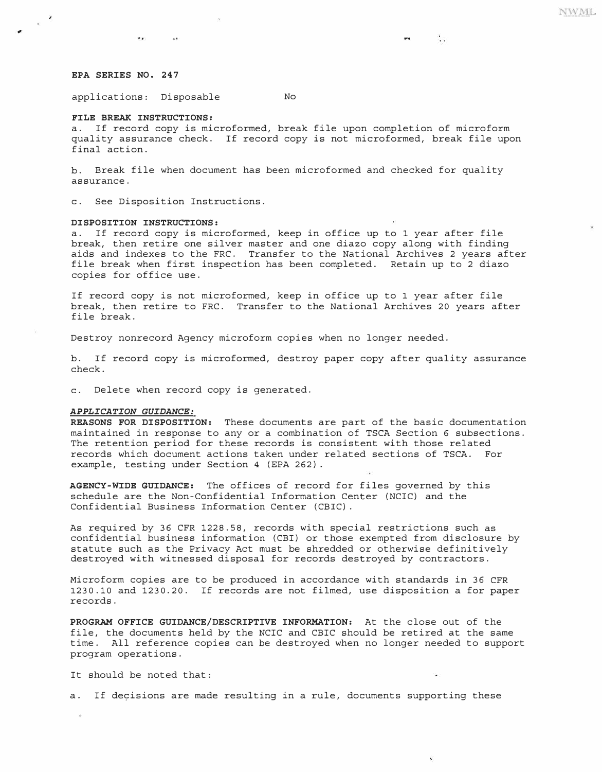$\mathcal{L}_{\text{max}}$ 

## *EPA SERIES NO. 247*

applications: Disposable No

 $-18.5$ 

#### *FILE BREAK INSTRUCTIONS:*

**AND LOS** 

a. If record copy is microformed, break file upon completion of microform quality assurance check. If record copy is not microformed, break file upon final action.

b. Break file when document has been microformed and checked for quality assurance.

c. See Disposition Instructions.

#### *DISPOSITION INSTRUCTIONS:*

a. If record copy is microformed, keep in office up to 1 year after file break, then retire one silver master and one diazo copy along with finding aids and indexes to the FRC. Transfer to the National Archives 2 years after file break when first inspection has been completed. Retain up to 2 diazo copies for office use.

If record copy is not microformed, keep in office up to 1 year after file break, then retire to FRC. Transfer to the National Archives 20 years after file break.

Destroy nonrecord Agency microform copies when no longer needed.

b. If record copy is microformed, destroy paper copy after quality assurance check.

c. Delete when record copy is generated.

#### *APPLICATION GUIDANCE:*

*REASONS FOR DISPOSITION:* These documents are part of the basic documentation maintained in response to any or a combination of TSCA Section 6 subsections. The retention period for these records is consistent with those related records which document actions taken under related sections of TSCA. For example, testing under Section 4 (EPA 262).

*AGENCY-WIDE GUIDANCE:* The offices of record for files governed by this schedule are the Non-Confidential Information Center (NCIC) and the Confidential Business Information Center (CBIC).

As required by 36 CFR 1228. 58, records with special restrictions such as confidential business information (CBI) or those exempted from disclosure by statute such as the Privacy Act must be shredded or otherwise definitively destroyed with witnessed disposal for records destroyed by contractors.

Microform copies are to be produced in accordance with standards in 36 CFR 1230. 10 and 1230.20. If records are not filmed, use disposition a for paper records.

*PROGRAM OFFICE GUIDANCE/DESCRIPTIVE INFORMATION:* At the close out of the file, the documents held by the NCIC and CBIC should be retired at the same time. All reference copies can be destroyed when no longer needed to support program operations.

It should be noted that:

a. If decisions are made resulting in a rule, documents supporting these